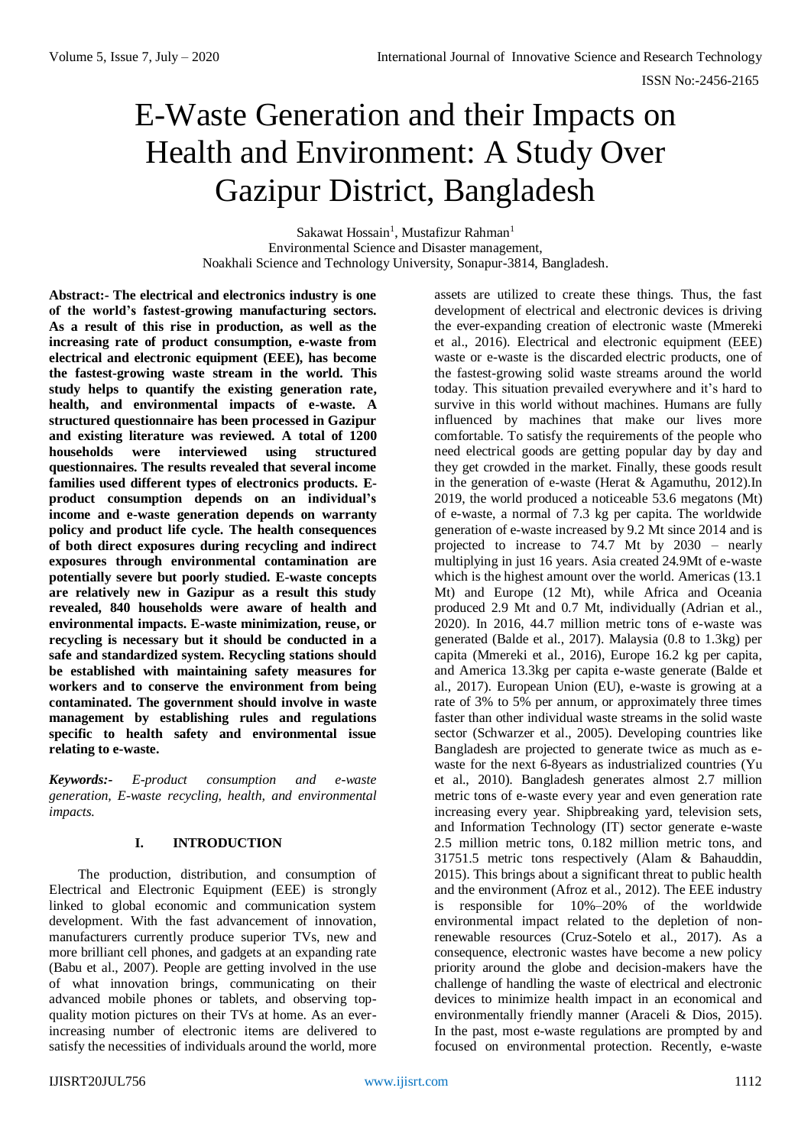# E-Waste Generation and their Impacts on Health and Environment: A Study Over Gazipur District, Bangladesh

Sakawat Hossain<sup>1</sup>, Mustafizur Rahman<sup>1</sup> Environmental Science and Disaster management, Noakhali Science and Technology University, Sonapur-3814, Bangladesh.

**Abstract:- The electrical and electronics industry is one of the world's fastest-growing manufacturing sectors. As a result of this rise in production, as well as the increasing rate of product consumption, e-waste from electrical and electronic equipment (EEE), has become the fastest-growing waste stream in the world. This study helps to quantify the existing generation rate, health, and environmental impacts of e-waste. A structured questionnaire has been processed in Gazipur and existing literature was reviewed. A total of 1200 households were interviewed using structured questionnaires. The results revealed that several income families used different types of electronics products. Eproduct consumption depends on an individual's income and e-waste generation depends on warranty policy and product life cycle. The health consequences of both direct exposures during recycling and indirect exposures through environmental contamination are potentially severe but poorly studied. E-waste concepts are relatively new in Gazipur as a result this study revealed, 840 households were aware of health and environmental impacts. E-waste minimization, reuse, or recycling is necessary but it should be conducted in a safe and standardized system. Recycling stations should be established with maintaining safety measures for workers and to conserve the environment from being contaminated. The government should involve in waste management by establishing rules and regulations specific to health safety and environmental issue relating to e-waste.**

*Keywords:- E-product consumption and e-waste generation, E-waste recycling, health, and environmental impacts.*

# **I. INTRODUCTION**

The production, distribution, and consumption of Electrical and Electronic Equipment (EEE) is strongly linked to global economic and communication system development. With the fast advancement of innovation, manufacturers currently produce superior TVs, new and more brilliant cell phones, and gadgets at an expanding rate (Babu et al., 2007). People are getting involved in the use of what innovation brings, communicating on their advanced mobile phones or tablets, and observing topquality motion pictures on their TVs at home. As an everincreasing number of electronic items are delivered to satisfy the necessities of individuals around the world, more

assets are utilized to create these things. Thus, the fast development of electrical and electronic devices is driving the ever-expanding creation of electronic waste (Mmereki et al., 2016). Electrical and electronic equipment (EEE) waste or e-waste is the discarded electric products, one of the fastest-growing solid waste streams around the world today. This situation prevailed everywhere and it's hard to survive in this world without machines. Humans are fully influenced by machines that make our lives more comfortable. To satisfy the requirements of the people who need electrical goods are getting popular day by day and they get crowded in the market. Finally, these goods result in the generation of e-waste (Herat & Agamuthu, 2012).In 2019, the world produced a noticeable 53.6 megatons (Mt) of e-waste, a normal of 7.3 kg per capita. The worldwide generation of e-waste increased by 9.2 Mt since 2014 and is projected to increase to 74.7 Mt by 2030 – nearly multiplying in just 16 years. Asia created 24.9Mt of e-waste which is the highest amount over the world. Americas (13.1 Mt) and Europe (12 Mt), while Africa and Oceania produced 2.9 Mt and 0.7 Mt, individually (Adrian et al., 2020). In 2016, 44.7 million metric tons of e-waste was generated (Balde et al., 2017). Malaysia (0.8 to 1.3kg) per capita (Mmereki et al., 2016), Europe 16.2 kg per capita, and America 13.3kg per capita e-waste generate (Balde et al., 2017). European Union (EU), e-waste is growing at a rate of 3% to 5% per annum, or approximately three times faster than other individual waste streams in the solid waste sector (Schwarzer et al., 2005). Developing countries like Bangladesh are projected to generate twice as much as ewaste for the next 6-8years as industrialized countries (Yu et al., 2010). Bangladesh generates almost 2.7 million metric tons of e-waste every year and even generation rate increasing every year. Shipbreaking yard, television sets, and Information Technology (IT) sector generate e-waste 2.5 million metric tons, 0.182 million metric tons, and 31751.5 metric tons respectively (Alam & Bahauddin, 2015). This brings about a significant threat to public health and the environment (Afroz et al., 2012). The EEE industry is responsible for 10%–20% of the worldwide environmental impact related to the depletion of nonrenewable resources (Cruz-Sotelo et al., 2017). As a consequence, electronic wastes have become a new policy priority around the globe and decision-makers have the challenge of handling the waste of electrical and electronic devices to minimize health impact in an economical and environmentally friendly manner (Araceli & Dios, 2015). In the past, most e-waste regulations are prompted by and focused on environmental protection. Recently, e-waste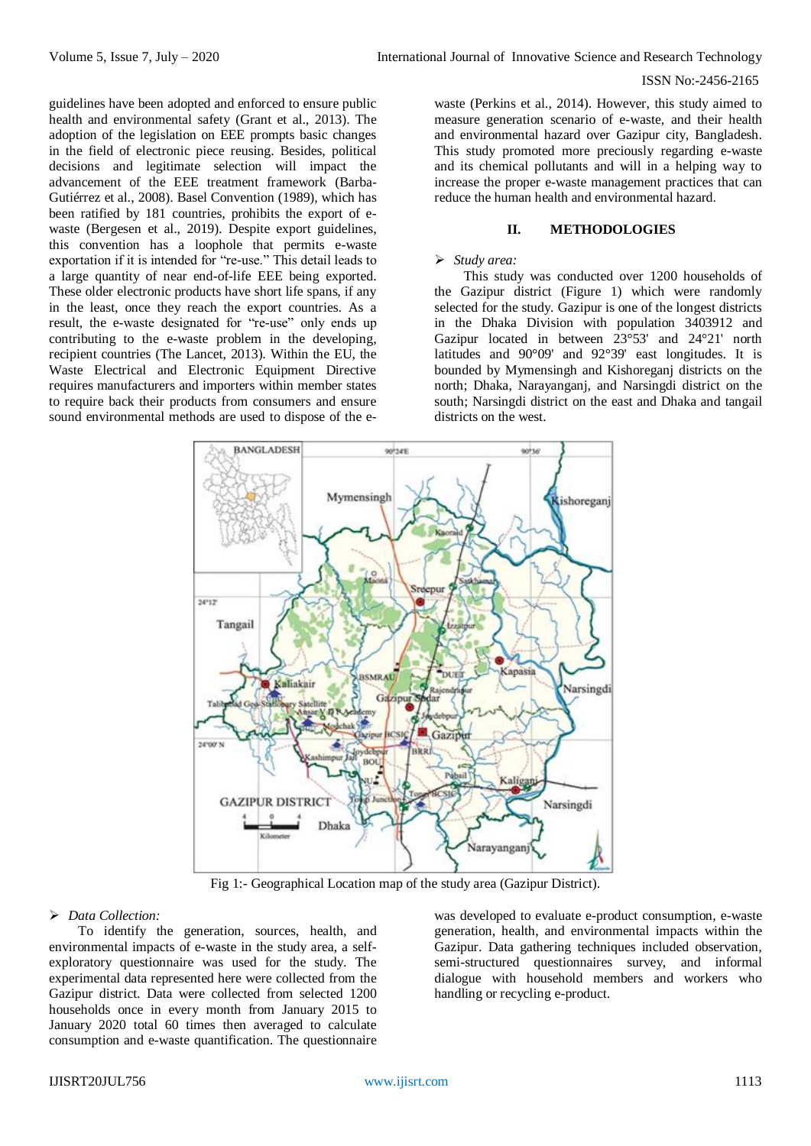guidelines have been adopted and enforced to ensure public health and environmental safety (Grant et al., 2013). The adoption of the legislation on EEE prompts basic changes in the field of electronic piece reusing. Besides, political decisions and legitimate selection will impact the advancement of the EEE treatment framework (Barba-Gutiérrez et al., 2008). Basel Convention (1989), which has been ratified by 181 countries, prohibits the export of ewaste (Bergesen et al., 2019). Despite export guidelines, this convention has a loophole that permits e-waste exportation if it is intended for "re-use." This detail leads to a large quantity of near end-of-life EEE being exported. These older electronic products have short life spans, if any in the least, once they reach the export countries. As a result, the e-waste designated for "re-use" only ends up contributing to the e-waste problem in the developing, recipient countries (The Lancet, 2013). Within the EU, the Waste Electrical and Electronic Equipment Directive requires manufacturers and importers within member states to require back their products from consumers and ensure sound environmental methods are used to dispose of the e-

waste (Perkins et al., 2014). However, this study aimed to measure generation scenario of e-waste, and their health and environmental hazard over Gazipur city, Bangladesh. This study promoted more preciously regarding e-waste and its chemical pollutants and will in a helping way to increase the proper e-waste management practices that can reduce the human health and environmental hazard.

## **II. METHODOLOGIES**

## *Study area:*

This study was conducted over 1200 households of the Gazipur district (Figure 1) which were randomly selected for the study. Gazipur is one of the longest districts in the Dhaka Division with population 3403912 and Gazipur located in between 23°53' and 24°21' north latitudes and 90°09' and 92°39' east longitudes. It is bounded by [Mymensingh](http://en.banglapedia.org/index.php?title=Mymensingh_District) and [Kishoreganj](http://en.banglapedia.org/index.php?title=Kishoreganj_District) districts on the north; [Dhaka,](http://en.banglapedia.org/index.php?title=Dhaka_District) [Narayanganj,](http://en.banglapedia.org/index.php?title=Narayanganj_District) and [Narsingdi](http://en.banglapedia.org/index.php?title=Narsingdi_District) district on the south; Narsingdi district on the east and Dhaka and [tangail](http://en.banglapedia.org/index.php?title=Tangail_District) districts on the west.



Fig 1:- Geographical Location map of the study area (Gazipur District).

## *Data Collection:*

To identify the generation, sources, health, and environmental impacts of e-waste in the study area, a selfexploratory questionnaire was used for the study. The experimental data represented here were collected from the Gazipur district. Data were collected from selected 1200 households once in every month from January 2015 to January 2020 total 60 times then averaged to calculate consumption and e-waste quantification. The questionnaire was developed to evaluate e-product consumption, e-waste generation, health, and environmental impacts within the Gazipur. Data gathering techniques included observation, semi-structured questionnaires survey, and informal dialogue with household members and workers who handling or recycling e-product.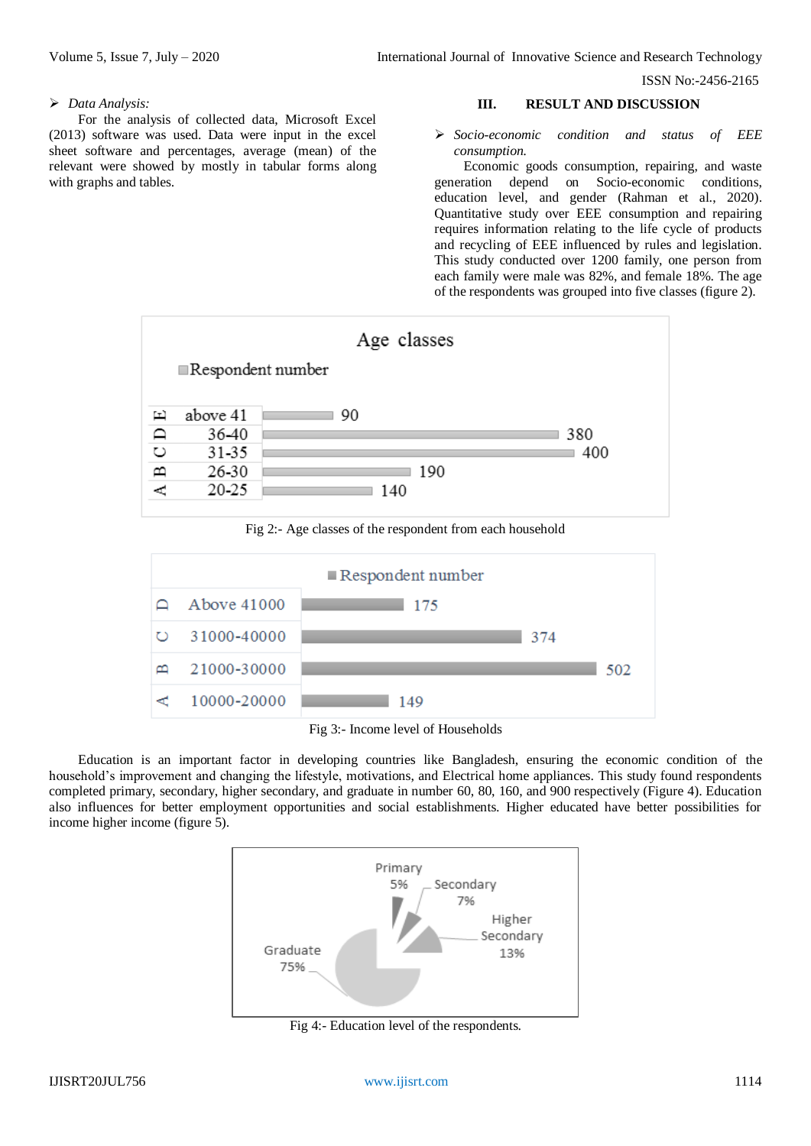#### *Data Analysis:*

For the analysis of collected data, Microsoft Excel (2013) software was used. Data were input in the excel sheet software and percentages, average (mean) of the relevant were showed by mostly in tabular forms along with graphs and tables.

#### **III. RESULT AND DISCUSSION**

 *Socio-economic condition and status of EEE consumption.*

Economic goods consumption, repairing, and waste generation depend on Socio-economic conditions, education level, and gender (Rahman et al., 2020). Quantitative study over EEE consumption and repairing requires information relating to the life cycle of products and recycling of EEE influenced by rules and legislation. This study conducted over 1200 family, one person from each family were male was 82%, and female 18%. The age of the respondents was grouped into five classes (figure 2).



Fig 2:- Age classes of the respondent from each household



Fig 3:- Income level of Households

Education is an important factor in developing countries like Bangladesh, ensuring the economic condition of the household's improvement and changing the lifestyle, motivations, and Electrical home appliances. This study found respondents completed primary, secondary, higher secondary, and graduate in number 60, 80, 160, and 900 respectively (Figure 4). Education also influences for better employment opportunities and social establishments. Higher educated have better possibilities for income higher income (figure 5).



Fig 4:- Education level of the respondents.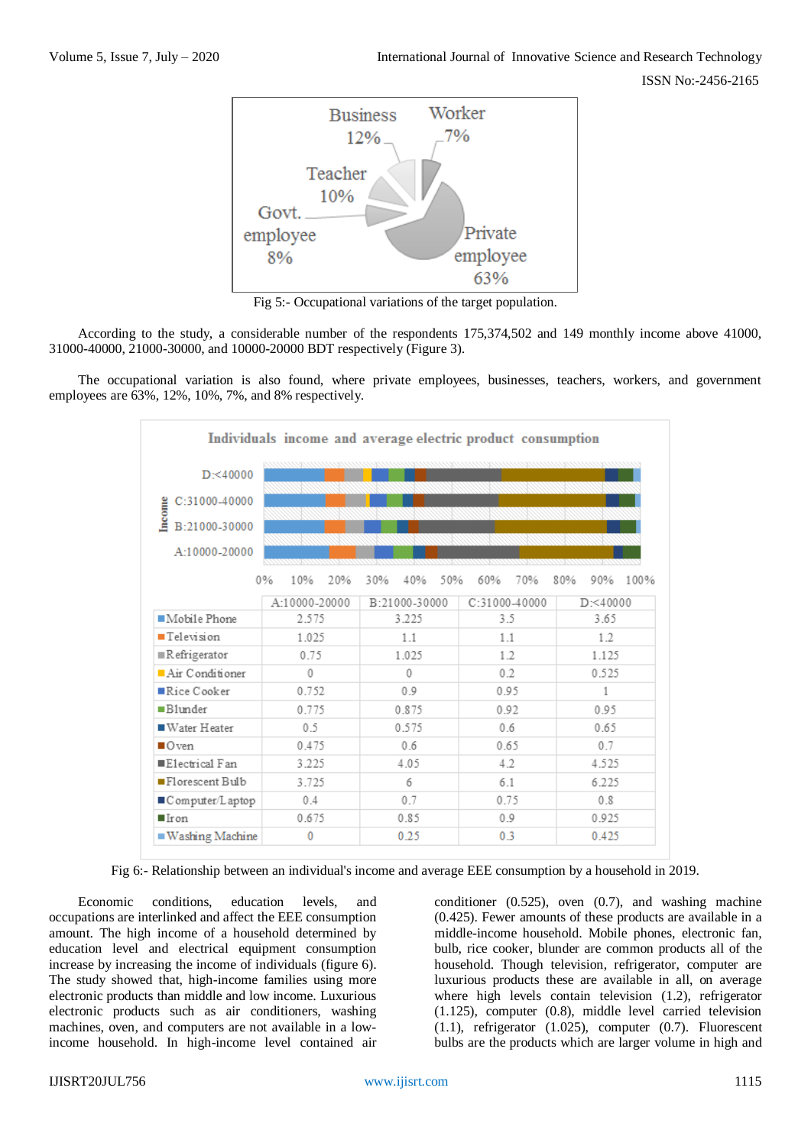

Fig 5:- Occupational variations of the target population.

According to the study, a considerable number of the respondents 175,374,502 and 149 monthly income above 41000, 31000-40000, 21000-30000, and 10000-20000 BDT respectively (Figure 3).

The occupational variation is also found, where private employees, businesses, teachers, workers, and government employees are 63%, 12%, 10%, 7%, and 8% respectively.

|                            |                  | Individuals income and average electric product consumption |                 |                    |
|----------------------------|------------------|-------------------------------------------------------------|-----------------|--------------------|
| $D = 40000$                |                  |                                                             |                 |                    |
| $C:31000-40000$            |                  |                                                             |                 |                    |
| Income<br>B:21000-30000    |                  |                                                             |                 |                    |
| A:10000-20000              |                  |                                                             |                 |                    |
|                            | 0%<br>10%<br>20% | 50%<br>30%<br>40%                                           | 60%<br>70%      | 80%<br>90%<br>100% |
|                            | A:10000-20000    | B:21000-30000                                               | $C:31000-40000$ | $D<$ 40000         |
| Mobile Phone               | 2.575            | 3.225                                                       | 3.5             | 3.65               |
| <b>Television</b>          | 1.025            | 1.1                                                         | 1.1             | 1.2                |
| ■Refrigerator              | 0.75             | 1.025                                                       | 1.2             | 1.125              |
| $A$ ir Conditioner         | $\theta$         | 0                                                           | 0.2             | 0 5 2 5            |
| $\blacksquare$ Rice Cooker | 0.752            | 0.9                                                         | 0.95            |                    |
| Blunder                    | 0.775            | 0.875                                                       | 092             | 0.95               |
| ■ Water Heater             | 0.5              | 0.575                                                       | 0.6             | 0.65               |
| $\blacksquare$ Oven        | 0.475            | 0.6                                                         | 0.65            | 07                 |
| Electrical Fan             | 3.225            | 405                                                         | 4.2             | 4 5 2 5            |
| ■Florescent Bulb           | 3.725            | 6                                                           | 61              | 6.225              |
| Computer/Laptop            | 0.4              | 0.7                                                         | 0.75            | 0.8                |
| $\blacksquare$ Iron        | 0.675            | 0.85                                                        | 0.9             | 0.925              |
| ■ Washing Machine          | $\bf{0}$         | 0.25                                                        | 0.3             | 0.425              |

Fig 6:- Relationship between an individual's income and average EEE consumption by a household in 2019.

Economic conditions, education levels, and occupations are interlinked and affect the EEE consumption amount. The high income of a household determined by education level and electrical equipment consumption increase by increasing the income of individuals (figure 6). The study showed that, high-income families using more electronic products than middle and low income. Luxurious electronic products such as air conditioners, washing machines, oven, and computers are not available in a lowincome household. In high-income level contained air

conditioner (0.525), oven (0.7), and washing machine (0.425). Fewer amounts of these products are available in a middle-income household. Mobile phones, electronic fan, bulb, rice cooker, blunder are common products all of the household. Though television, refrigerator, computer are luxurious products these are available in all, on average where high levels contain television (1.2), refrigerator (1.125), computer (0.8), middle level carried television (1.1), refrigerator (1.025), computer (0.7). Fluorescent bulbs are the products which are larger volume in high and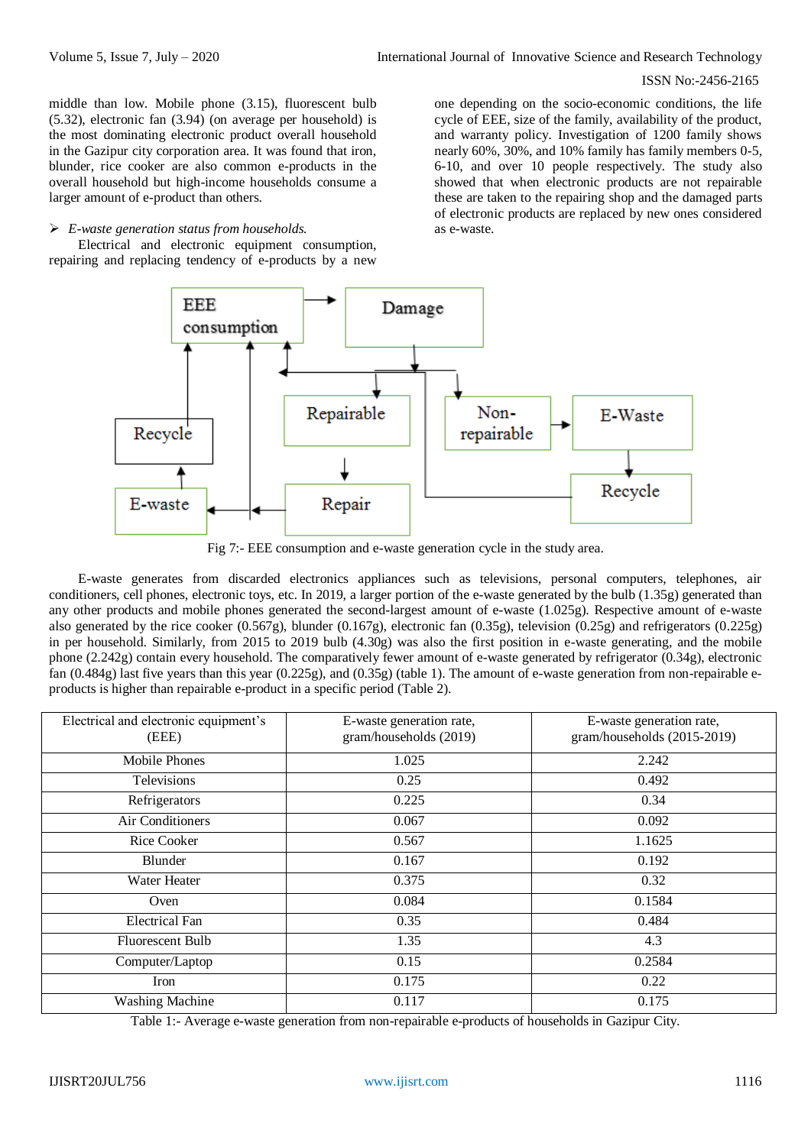middle than low. Mobile phone (3.15), fluorescent bulb (5.32), electronic fan (3.94) (on average per household) is the most dominating electronic product overall household in the Gazipur city corporation area. It was found that iron, blunder, rice cooker are also common e-products in the overall household but high-income households consume a larger amount of e-product than others.

# *E-waste generation status from households.*

Electrical and electronic equipment consumption, repairing and replacing tendency of e-products by a new

one depending on the socio-economic conditions, the life cycle of EEE, size of the family, availability of the product, and warranty policy. Investigation of 1200 family shows nearly 60%, 30%, and 10% family has family members 0-5, 6-10, and over 10 people respectively. The study also showed that when electronic products are not repairable these are taken to the repairing shop and the damaged parts of electronic products are replaced by new ones considered as e-waste.



Fig 7:- EEE consumption and e-waste generation cycle in the study area.

E-waste generates from discarded electronics appliances such as televisions, personal computers, telephones, air conditioners, cell phones, electronic toys, etc. In 2019, a larger portion of the e-waste generated by the bulb (1.35g) generated than any other products and mobile phones generated the second-largest amount of e-waste (1.025g). Respective amount of e-waste also generated by the rice cooker (0.567g), blunder (0.167g), electronic fan (0.35g), television (0.25g) and refrigerators (0.225g) in per household. Similarly, from 2015 to 2019 bulb (4.30g) was also the first position in e-waste generating, and the mobile phone (2.242g) contain every household. The comparatively fewer amount of e-waste generated by refrigerator (0.34g), electronic fan (0.484g) last five years than this year (0.225g), and (0.35g) (table 1). The amount of e-waste generation from non-repairable eproducts is higher than repairable e-product in a specific period (Table 2).

| Electrical and electronic equipment's<br>(EEE) | E-waste generation rate,<br>gram/households (2019) | E-waste generation rate,<br>gram/households (2015-2019) |
|------------------------------------------------|----------------------------------------------------|---------------------------------------------------------|
| Mobile Phones                                  | 1.025                                              | 2.242                                                   |
| Televisions                                    | 0.25                                               | 0.492                                                   |
| Refrigerators                                  | 0.225                                              | 0.34                                                    |
| Air Conditioners                               | 0.067                                              | 0.092                                                   |
| <b>Rice Cooker</b>                             | 0.567                                              | 1.1625                                                  |
| Blunder                                        | 0.167                                              | 0.192                                                   |
| Water Heater                                   | 0.375                                              | 0.32                                                    |
| Oven                                           | 0.084                                              | 0.1584                                                  |
| <b>Electrical Fan</b>                          | 0.35                                               | 0.484                                                   |
| <b>Fluorescent Bulb</b>                        | 1.35                                               | 4.3                                                     |
| Computer/Laptop                                | 0.15                                               | 0.2584                                                  |
| Iron                                           | 0.175                                              | 0.22                                                    |
| <b>Washing Machine</b>                         | 0.117                                              | 0.175                                                   |

Table 1:- Average e-waste generation from non-repairable e-products of households in Gazipur City.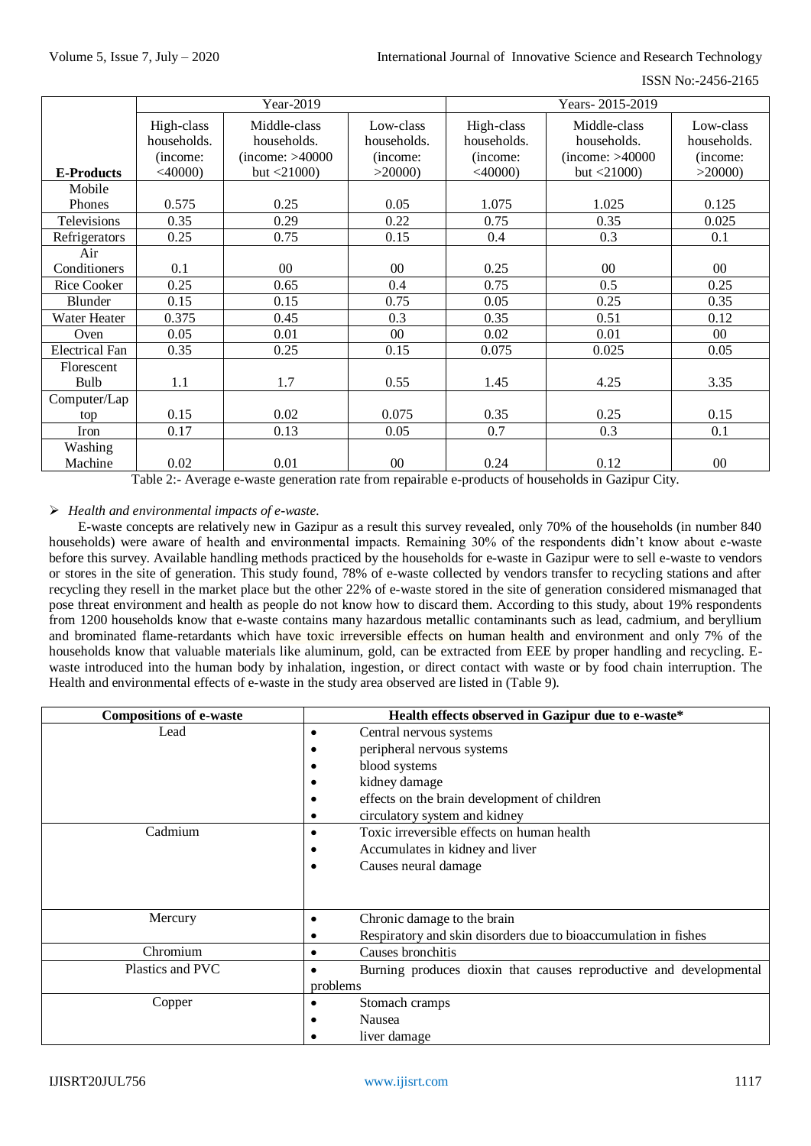| ISSN No:-2456-2165 |
|--------------------|
|                    |

|                       | Year-2019                                           |                                                                  | Years-2015-2019                                |                                                     |                                                                  |                                                |
|-----------------------|-----------------------------------------------------|------------------------------------------------------------------|------------------------------------------------|-----------------------------------------------------|------------------------------------------------------------------|------------------------------------------------|
| <b>E-Products</b>     | High-class<br>households.<br>(income:<br>$<$ 40000) | Middle-class<br>households.<br>(income: >40000<br>but $<$ 21000) | Low-class<br>households.<br>(income:<br>>20000 | High-class<br>households.<br>(income:<br>$<$ 40000) | Middle-class<br>households.<br>(income: >40000<br>but $<$ 21000) | Low-class<br>households.<br>(income:<br>>20000 |
| Mobile                |                                                     |                                                                  |                                                |                                                     |                                                                  |                                                |
| Phones                | 0.575                                               | 0.25                                                             | 0.05                                           | 1.075                                               | 1.025                                                            | 0.125                                          |
| Televisions           | 0.35                                                | 0.29                                                             | 0.22                                           | 0.75                                                | 0.35                                                             | 0.025                                          |
| Refrigerators         | 0.25                                                | 0.75                                                             | 0.15                                           | 0.4                                                 | 0.3                                                              | 0.1                                            |
| Air                   |                                                     |                                                                  |                                                |                                                     |                                                                  |                                                |
| Conditioners          | 0.1                                                 | $00\,$                                                           | $00\,$                                         | 0.25                                                | $00\,$                                                           | 00                                             |
| Rice Cooker           | 0.25                                                | 0.65                                                             | 0.4                                            | 0.75                                                | 0.5                                                              | 0.25                                           |
| Blunder               | 0.15                                                | 0.15                                                             | 0.75                                           | 0.05                                                | 0.25                                                             | 0.35                                           |
| <b>Water Heater</b>   | 0.375                                               | 0.45                                                             | 0.3                                            | 0.35                                                | 0.51                                                             | 0.12                                           |
| Oven                  | 0.05                                                | 0.01                                                             | $00\,$                                         | 0.02                                                | 0.01                                                             | 00                                             |
| <b>Electrical Fan</b> | 0.35                                                | 0.25                                                             | 0.15                                           | 0.075                                               | 0.025                                                            | 0.05                                           |
| Florescent            |                                                     |                                                                  |                                                |                                                     |                                                                  |                                                |
| Bulb                  | 1.1                                                 | 1.7                                                              | 0.55                                           | 1.45                                                | 4.25                                                             | 3.35                                           |
| Computer/Lap          |                                                     |                                                                  |                                                |                                                     |                                                                  |                                                |
| top                   | 0.15                                                | 0.02                                                             | 0.075                                          | 0.35                                                | 0.25                                                             | 0.15                                           |
| Iron                  | 0.17                                                | 0.13                                                             | 0.05                                           | 0.7                                                 | 0.3                                                              | 0.1                                            |
| Washing               |                                                     |                                                                  |                                                |                                                     |                                                                  |                                                |
| Machine               | 0.02                                                | 0.01                                                             | $00\,$                                         | 0.24                                                | 0.12                                                             | $00\,$                                         |

Table 2:- Average e-waste generation rate from repairable e-products of households in Gazipur City.

## *Health and environmental impacts of e-waste.*

E-waste concepts are relatively new in Gazipur as a result this survey revealed, only 70% of the households (in number 840 households) were aware of health and environmental impacts. Remaining 30% of the respondents didn't know about e-waste before this survey. Available handling methods practiced by the households for e-waste in Gazipur were to sell e-waste to vendors or stores in the site of generation. This study found, 78% of e-waste collected by vendors transfer to recycling stations and after recycling they resell in the market place but the other 22% of e-waste stored in the site of generation considered mismanaged that pose threat environment and health as people do not know how to discard them. According to this study, about 19% respondents from 1200 households know that e-waste contains many hazardous metallic contaminants such as lead, cadmium, and beryllium and brominated flame-retardants which have toxic irreversible effects on human health and environment and only 7% of the households know that valuable materials like aluminum, gold, can be extracted from EEE by proper handling and recycling. Ewaste introduced into the human body by inhalation, ingestion, or direct contact with waste or by food chain interruption. The Health and environmental effects of e-waste in the study area observed are listed in (Table 9).

| <b>Compositions of e-waste</b> | Health effects observed in Gazipur due to e-waste*                 |
|--------------------------------|--------------------------------------------------------------------|
| Lead                           | Central nervous systems                                            |
|                                | peripheral nervous systems                                         |
|                                | blood systems                                                      |
|                                | kidney damage                                                      |
|                                | effects on the brain development of children                       |
|                                | circulatory system and kidney                                      |
| Cadmium                        | Toxic irreversible effects on human health                         |
|                                | Accumulates in kidney and liver                                    |
|                                | Causes neural damage                                               |
|                                |                                                                    |
|                                |                                                                    |
| Mercury                        | Chronic damage to the brain                                        |
|                                | Respiratory and skin disorders due to bioaccumulation in fishes    |
| Chromium                       | Causes bronchitis                                                  |
| Plastics and PVC               | Burning produces dioxin that causes reproductive and developmental |
|                                | problems                                                           |
| Copper                         | Stomach cramps                                                     |
|                                | <b>Nausea</b>                                                      |
|                                | liver damage                                                       |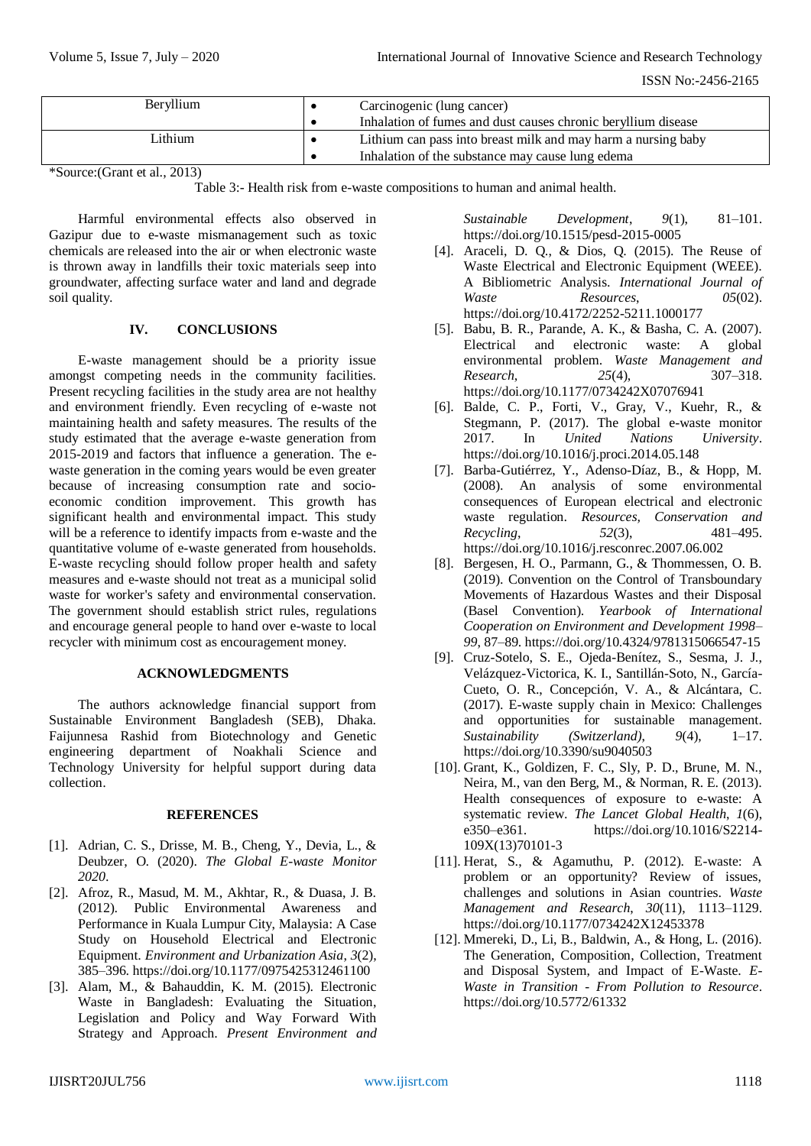| <b>Beryllium</b> | Carcinogenic (lung cancer) |                                                               |
|------------------|----------------------------|---------------------------------------------------------------|
|                  |                            | Inhalation of fumes and dust causes chronic beryllium disease |
| Lithium          |                            | Lithium can pass into breast milk and may harm a nursing baby |
|                  |                            | Inhalation of the substance may cause lung edema              |

\*Source:(Grant et al., 2013)

Table 3:- Health risk from e-waste compositions to human and animal health.

Harmful environmental effects also observed in Gazipur due to e-waste mismanagement such as toxic chemicals are released into the air or when electronic waste is thrown away in landfills their toxic materials seep into groundwater, affecting surface water and land and degrade soil quality.

# **IV. CONCLUSIONS**

E-waste management should be a priority issue amongst competing needs in the community facilities. Present recycling facilities in the study area are not healthy and environment friendly. Even recycling of e-waste not maintaining health and safety measures. The results of the study estimated that the average e-waste generation from 2015-2019 and factors that influence a generation. The ewaste generation in the coming years would be even greater because of increasing consumption rate and socioeconomic condition improvement. This growth has significant health and environmental impact. This study will be a reference to identify impacts from e-waste and the quantitative volume of e-waste generated from households. E-waste recycling should follow proper health and safety measures and e-waste should not treat as a municipal solid waste for worker's safety and environmental conservation. The government should establish strict rules, regulations and encourage general people to hand over e-waste to local recycler with minimum cost as encouragement money.

## **ACKNOWLEDGMENTS**

The authors acknowledge financial support from Sustainable Environment Bangladesh (SEB), Dhaka. Faijunnesa Rashid from Biotechnology and Genetic engineering department of Noakhali Science and Technology University for helpful support during data collection.

## **REFERENCES**

- [1]. Adrian, C. S., Drisse, M. B., Cheng, Y., Devia, L., & Deubzer, O. (2020). *The Global E-waste Monitor 2020*.
- [2]. Afroz, R., Masud, M. M., Akhtar, R., & Duasa, J. B. (2012). Public Environmental Awareness and Performance in Kuala Lumpur City, Malaysia: A Case Study on Household Electrical and Electronic Equipment. *Environment and Urbanization Asia*, *3*(2), 385–396. https://doi.org/10.1177/0975425312461100
- [3]. Alam, M., & Bahauddin, K. M. (2015). Electronic Waste in Bangladesh: Evaluating the Situation, Legislation and Policy and Way Forward With Strategy and Approach. *Present Environment and*

*Sustainable Development*, *9*(1), 81–101. https://doi.org/10.1515/pesd-2015-0005

- [4]. Araceli, D. Q., & Dios, Q. (2015). The Reuse of Waste Electrical and Electronic Equipment (WEEE). A Bibliometric Analysis. *International Journal of Waste Resources*, *05*(02). https://doi.org/10.4172/2252-5211.1000177
- [5]. Babu, B. R., Parande, A. K., & Basha, C. A. (2007). Electrical and electronic waste: A global environmental problem. *Waste Management and Research*, *25*(4), 307–318. https://doi.org/10.1177/0734242X07076941
- [6]. Balde, C. P., Forti, V., Gray, V., Kuehr, R., & Stegmann, P. (2017). The global e-waste monitor 2017. In *United Nations University*. https://doi.org/10.1016/j.proci.2014.05.148
- [7]. Barba-Gutiérrez, Y., Adenso-Díaz, B., & Hopp, M. (2008). An analysis of some environmental consequences of European electrical and electronic waste regulation. *Resources, Conservation and Recycling*, *52*(3), 481–495. https://doi.org/10.1016/j.resconrec.2007.06.002
- [8]. Bergesen, H. O., Parmann, G., & Thommessen, O. B. (2019). Convention on the Control of Transboundary Movements of Hazardous Wastes and their Disposal (Basel Convention). *Yearbook of International Cooperation on Environment and Development 1998– 99*, 87–89. https://doi.org/10.4324/9781315066547-15
- [9]. Cruz-Sotelo, S. E., Ojeda-Benítez, S., Sesma, J. J., Velázquez-Victorica, K. I., Santillán-Soto, N., García-Cueto, O. R., Concepción, V. A., & Alcántara, C. (2017). E-waste supply chain in Mexico: Challenges and opportunities for sustainable management. *Sustainability (Switzerland)*, *9*(4), 1–17. https://doi.org/10.3390/su9040503
- [10]. Grant, K., Goldizen, F. C., Sly, P. D., Brune, M. N., Neira, M., van den Berg, M., & Norman, R. E. (2013). Health consequences of exposure to e-waste: A systematic review. *The Lancet Global Health*, *1*(6), e350–e361. https://doi.org/10.1016/S2214- 109X(13)70101-3
- [11]. Herat, S., & Agamuthu, P. (2012). E-waste: A problem or an opportunity? Review of issues, challenges and solutions in Asian countries. *Waste Management and Research*, *30*(11), 1113–1129. https://doi.org/10.1177/0734242X12453378
- [12]. Mmereki, D., Li, B., Baldwin, A., & Hong, L. (2016). The Generation, Composition, Collection, Treatment and Disposal System, and Impact of E-Waste. *E-Waste in Transition - From Pollution to Resource*. https://doi.org/10.5772/61332